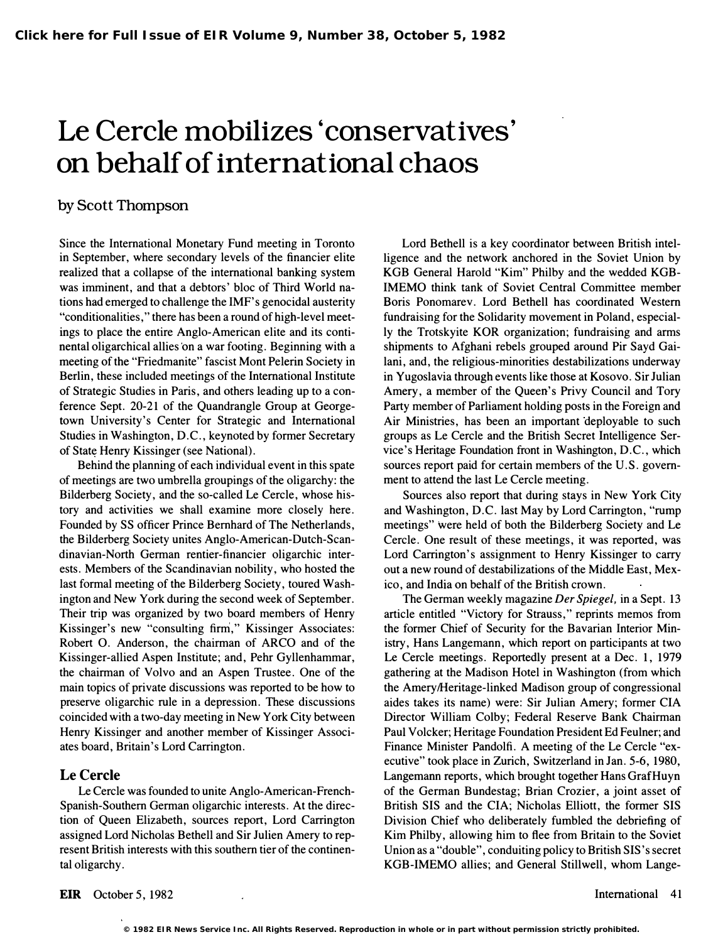# Le Cercle mobilizes 'conservatives' on behalf of international chaos

## by Scott Thompson

Since the International Monetary Fund meeting in Toronto. in September, where secondary levels of the financier elite realized that a collapse of the international banking system was imminent, and that a debtors' bloc of Third World nations had emerged to challenge the IMF's genocidal austerity "conditionalities," there has been a round of high-level meetings to place the entire Anglo-American elite and its continental oligarchical allies on a war footing. Beginning with a meeting of the "Friedmanite" fascist Mont Pelerin Society in Berlin, these included meetings of the International Institute of Strategic Studies in Paris, and others leading up to a conference Sept. 20-21 of the Quandrangle Group at Georgetown University's Center for Strategic and International Studies in Washington, D.C., keynoted by former Secretary of State Henry Kissinger (see National).

Behind the planning of each individual event in this spate of meetings are two umbrella groupings of the oligarchy: the Bilderberg Society, and the so-called Le Cercle, whose history and activities we shall examine more closely here. Founded by SS officer Prince Bernhard of The Netherlands, the Bilderberg Society unites Anglo-American-Dutch-Scandinavian-North German rentier-financier oligarchic interests. Members of the Scandinavian nobility, who hosted the last formal meeting of the Bilderberg Society, toured Washington and New York during the second week of September. Their trip was organized by two board members of Henry Kissinger's new "consulting firm," Kissinger Associates: Robert O. Anderson, the chairman of ARCO and of the Kissinger-allied Aspen Institute; and, Pehr Gyllenhammar, the chairman of Volvo and an Aspen Trustee. One of the main topics of private discussions was reported to be how to preserve oligarchic rule in a depression. These discussions coincided with a two-day meeting in New York City between Henry Kissinger and another member of Kissinger Associates board, Britain's Lord Carrington.

#### Le Cercle

Le Cercle was founded to unite Anglo-American-French-Spanish-Southern German oligarchic interests. At the direction of Queen Elizabeth, sources report, Lord Carrington assigned Lord Nicholas Bethell and Sir Julien Amery to represent British interests with this southern tier of the continental oligarchy.

Lord Bethell is a key coordinator between British intelligence and the network anchored in the Soviet Union by KGB General Harold "Kim" Philby and the wedded KGB-IMEMO think tank of Soviet Central Committee member Boris Ponomarev. Lord Bethell has coordinated Western fundraising for the Solidarity movement in Poland, especially the Trotskyite KOR organization; fundraising and arms shipments to Afghani rebels grouped around Pir Sayd Gailani, and, the religious-minorities destabilizations underway in Yugoslavia through events like those at Kosovo. Sir Julian Amery, a member of the Queen's Privy Council and Tory Party member of Parliament holding posts in the Foreign and Air Ministries, has been an important deployable to such groups as Le Cercle and the British Secret Intelligence Service's Heritage Foundation front in Washington, D.C., which sources report paid for certain members of the U.S. government to attend the last Le Cercle meeting.

Sources also report that during stays in New York City and Washington, D.C. last May by Lord Carrington, "rump meetings" were held of both the Bilderberg Society and Le Cercle. One result of these meetings, it was reported, was Lord Carrington's assignment to Henry Kissinger to carry out a new round of destabilizations of the Middle East, Mexico, and India on behalf of the British crown.

The German weekly magazine Der Spiegel, in a Sept. 13 article entitled "Victory for Strauss," reprints memos from the former Chief of Security for the Bavarian Interior Ministry, Hans Langemann, which report on participants at two. Le Cercle meetings. Reportedly present at a Dec. 1, 1979 gathering at the Madison Hotel in Washington (from which the Amery/Heritage-linked Madison group of congressional aides takes its name) were: Sir Julian Amery; former CIA Director William Colby; Federal Reserve Bank Chairman Paul Volcker; Heritage Foundation President Ed Feulner; and Finance Minister Pandolfi. A meeting of the Le Cercle "executive" took place in Zurich, Switzerland in Jan. 5-6, 1980, Langemann reports, which brought together Hans GrafHuyn of the German Bundestag; Brian Crozier, a joint asset of British SIS and the CIA; Nicholas Elliott, the former SIS Division Chief who deliberately fumbled the debriefing of Kim Philby, allowing him to flee from Britain to the Soviet Union as a "double", conduiting policy to British SIS's secret KGB-IMEMO allies; and General Stillwell, whom Lange-

**<sup>© 1982</sup> EIR News Service Inc. All Rights Reserved. Reproduction in whole or in part without permission strictly prohibited.**